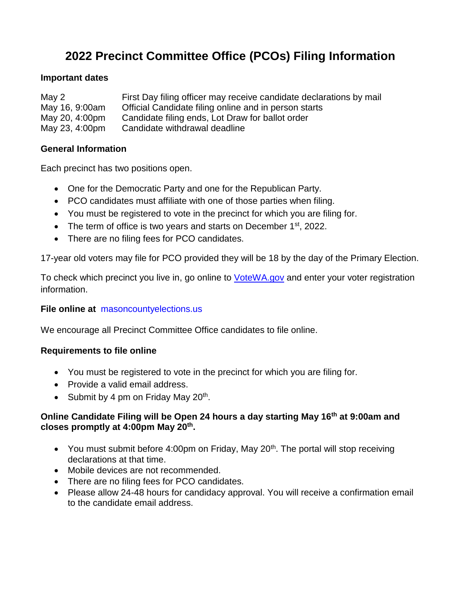# **2022 Precinct Committee Office (PCOs) Filing Information**

# **Important dates**

| May 2          | First Day filing officer may receive candidate declarations by mail |
|----------------|---------------------------------------------------------------------|
| May 16, 9:00am | Official Candidate filing online and in person starts               |
| May 20, 4:00pm | Candidate filing ends, Lot Draw for ballot order                    |
| May 23, 4:00pm | Candidate withdrawal deadline                                       |

# **General Information**

Each precinct has two positions open.

- One for the Democratic Party and one for the Republican Party.
- PCO candidates must affiliate with one of those parties when filing.
- You must be registered to vote in the precinct for which you are filing for.
- The term of office is two years and starts on December  $1<sup>st</sup>$ , 2022.
- There are no filing fees for PCO candidates.

17-year old voters may file for PCO provided they will be 18 by the day of the Primary Election.

To check which precinct you live in, go online to **[VoteWA.gov](http://www.votewa.gov/)** and enter your voter registration information.

#### **File online at** [masoncountyelections.us](http://www.masoncountyelections.us/)

We encourage all Precinct Committee Office candidates to file online.

#### **Requirements to file online**

- You must be registered to vote in the precinct for which you are filing for.
- Provide a valid email address.
- Submit by 4 pm on Friday May  $20<sup>th</sup>$ .

#### **Online Candidate Filing will be Open 24 hours a day starting May 16th at 9:00am and closes promptly at 4:00pm May 20th .**

- You must submit before 4:00pm on Friday, May  $20<sup>th</sup>$ . The portal will stop receiving declarations at that time.
- Mobile devices are not recommended.
- There are no filing fees for PCO candidates.
- Please allow 24-48 hours for candidacy approval. You will receive a confirmation email to the candidate email address.